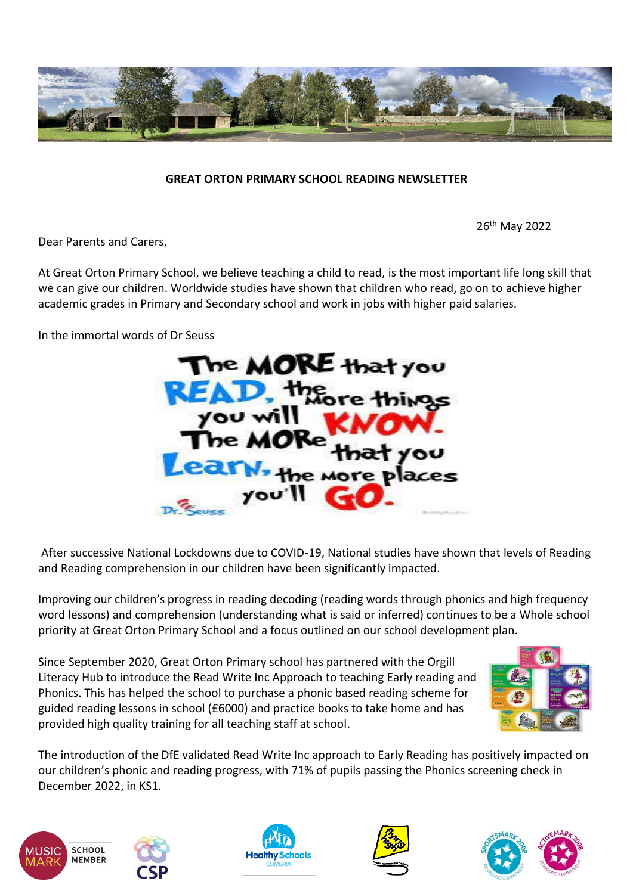

## **GREAT ORTON PRIMARY SCHOOL READING NEWSLETTER**

26th May 2022

Dear Parents and Carers,

At Great Orton Primary School, we believe teaching a child to read, is the most important life long skill that we can give our children. Worldwide studies have shown that children who read, go on to achieve higher academic grades in Primary and Secondary school and work in jobs with higher paid salaries.

In the immortal words of Dr Seuss



After successive National Lockdowns due to COVID-19, National studies have shown that levels of Reading and Reading comprehension in our children have been significantly impacted.

Improving our children's progress in reading decoding (reading words through phonics and high frequency word lessons) and comprehension (understanding what is said or inferred) continues to be a Whole school priority at Great Orton Primary School and a focus outlined on our school development plan.

Since September 2020, Great Orton Primary school has partnered with the Orgill Literacy Hub to introduce the Read Write Inc Approach to teaching Early reading and Phonics. This has helped the school to purchase a phonic based reading scheme for guided reading lessons in school (£6000) and practice books to take home and has provided high quality training for all teaching staff at school.



The introduction of the DfE validated Read Write Inc approach to Early Reading has positively impacted on our children's phonic and reading progress, with 71% of pupils passing the Phonics screening check in December 2022, in KS1.









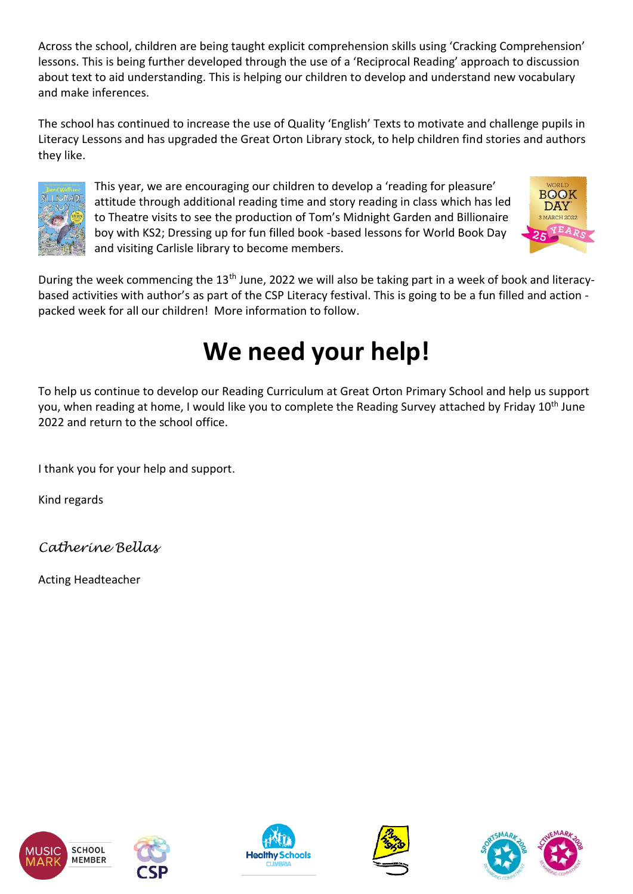Across the school, children are being taught explicit comprehension skills using 'Cracking Comprehension' lessons. This is being further developed through the use of a 'Reciprocal Reading' approach to discussion about text to aid understanding. This is helping our children to develop and understand new vocabulary and make inferences.

The school has continued to increase the use of Quality 'English' Texts to motivate and challenge pupils in Literacy Lessons and has upgraded the Great Orton Library stock, to help children find stories and authors they like.



This year, we are encouraging our children to develop a 'reading for pleasure' attitude through additional reading time and story reading in class which has led to Theatre visits to see the production of Tom's Midnight Garden and Billionaire boy with KS2; Dressing up for fun filled book -based lessons for World Book Day and visiting Carlisle library to become members.



During the week commencing the 13<sup>th</sup> June, 2022 we will also be taking part in a week of book and literacybased activities with author's as part of the CSP Literacy festival. This is going to be a fun filled and action packed week for all our children! More information to follow.

## **We need your help!**

To help us continue to develop our Reading Curriculum at Great Orton Primary School and help us support you, when reading at home, I would like you to complete the Reading Survey attached by Friday 10<sup>th</sup> June 2022 and return to the school office.

I thank you for your help and support.

Kind regards

*Catherine Bellas*

Acting Headteacher